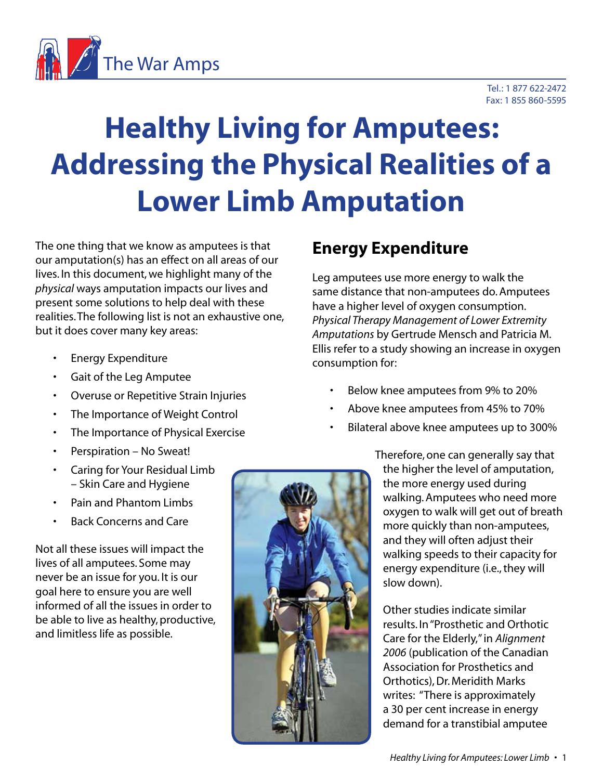

# **Healthy Living for Amputees: Addressing the Physical Realities of a Lower Limb Amputation**

The one thing that we know as amputees is that our amputation(s) has an effect on all areas of our lives. In this document, we highlight many of the *physical* ways amputation impacts our lives and present some solutions to help deal with these realities. The following list is not an exhaustive one, but it does cover many key areas:

- Energy Expenditure
- Gait of the Leg Amputee
- Overuse or Repetitive Strain Injuries
- The Importance of Weight Control
- The Importance of Physical Exercise
- Perspiration No Sweat!
- Caring for Your Residual Limb – Skin Care and Hygiene
- Pain and Phantom Limbs
- Back Concerns and Care

Not all these issues will impact the lives of all amputees. Some may never be an issue for you. It is our goal here to ensure you are well informed of all the issues in order to be able to live as healthy, productive, and limitless life as possible.

# **Energy Expenditure**

Leg amputees use more energy to walk the same distance that non-amputees do. Amputees have a higher level of oxygen consumption. *Physical Therapy Management of Lower Extremity Amputations* by Gertrude Mensch and Patricia M. Ellis refer to a study showing an increase in oxygen consumption for:

- Below knee amputees from 9% to 20%
- Above knee amputees from 45% to 70%
- Bilateral above knee amputees up to 300%



Therefore, one can generally say that the higher the level of amputation, the more energy used during walking. Amputees who need more oxygen to walk will get out of breath more quickly than non-amputees, and they will often adjust their walking speeds to their capacity for energy expenditure (i.e., they will slow down).

Other studies indicate similar results. In "Prosthetic and Orthotic Care for the Elderly," in *Alignment 2006* (publication of the Canadian Association for Prosthetics and Orthotics), Dr. Meridith Marks writes: "There is approximately a 30 per cent increase in energy demand for a transtibial amputee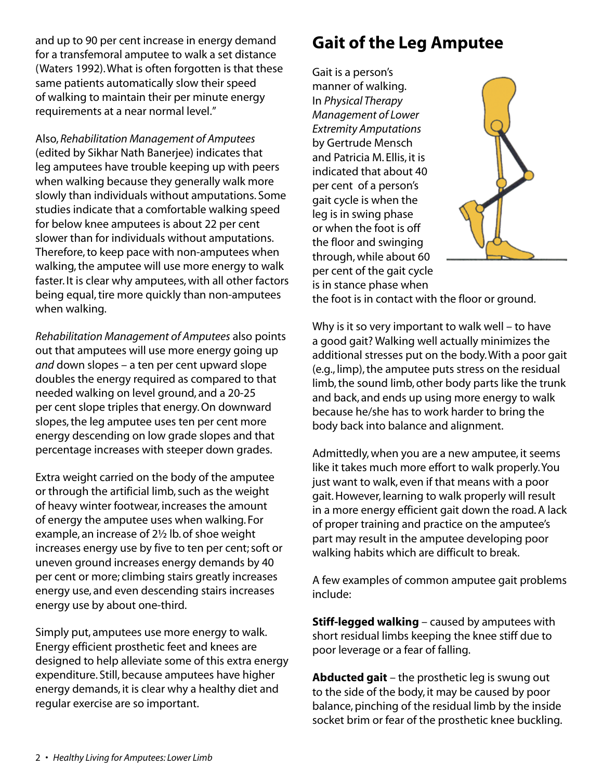and up to 90 per cent increase in energy demand for a transfemoral amputee to walk a set distance (Waters 1992). What is often forgotten is that these same patients automatically slow their speed of walking to maintain their per minute energy requirements at a near normal level."

Also, *Rehabilitation Management of Amputees* (edited by Sikhar Nath Banerjee) indicates that leg amputees have trouble keeping up with peers when walking because they generally walk more slowly than individuals without amputations. Some studies indicate that a comfortable walking speed for below knee amputees is about 22 per cent slower than for individuals without amputations. Therefore, to keep pace with non-amputees when walking, the amputee will use more energy to walk faster. It is clear why amputees, with all other factors being equal, tire more quickly than non-amputees when walking.

*Rehabilitation Management of Amputees* also points out that amputees will use more energy going up *and* down slopes – a ten per cent upward slope doubles the energy required as compared to that needed walking on level ground, and a 20-25 per cent slope triples that energy. On downward slopes, the leg amputee uses ten per cent more energy descending on low grade slopes and that percentage increases with steeper down grades.

Extra weight carried on the body of the amputee or through the artificial limb, such as the weight of heavy winter footwear, increases the amount of energy the amputee uses when walking. For example, an increase of 2½ lb. of shoe weight increases energy use by five to ten per cent; soft or uneven ground increases energy demands by 40 per cent or more; climbing stairs greatly increases energy use, and even descending stairs increases energy use by about one-third.

Simply put, amputees use more energy to walk. Energy efficient prosthetic feet and knees are designed to help alleviate some of this extra energy expenditure. Still, because amputees have higher energy demands, it is clear why a healthy diet and regular exercise are so important.

# **Gait of the Leg Amputee**

Gait is a person's manner of walking. In *Physical Therapy Management of Lower Extremity Amputations* by Gertrude Mensch and Patricia M. Ellis, it is indicated that about 40 per cent of a person's gait cycle is when the leg is in swing phase or when the foot is off the floor and swinging through, while about 60 per cent of the gait cycle is in stance phase when



the foot is in contact with the floor or ground.

Why is it so very important to walk well – to have a good gait? Walking well actually minimizes the additional stresses put on the body. With a poor gait (e.g., limp), the amputee puts stress on the residual limb, the sound limb, other body parts like the trunk and back, and ends up using more energy to walk because he/she has to work harder to bring the body back into balance and alignment.

Admittedly, when you are a new amputee, it seems like it takes much more effort to walk properly. You just want to walk, even if that means with a poor gait. However, learning to walk properly will result in a more energy efficient gait down the road. A lack of proper training and practice on the amputee's part may result in the amputee developing poor walking habits which are difficult to break.

A few examples of common amputee gait problems include:

**Stiff-legged walking** – caused by amputees with short residual limbs keeping the knee stiff due to poor leverage or a fear of falling.

**Abducted gait** – the prosthetic leg is swung out to the side of the body, it may be caused by poor balance, pinching of the residual limb by the inside socket brim or fear of the prosthetic knee buckling.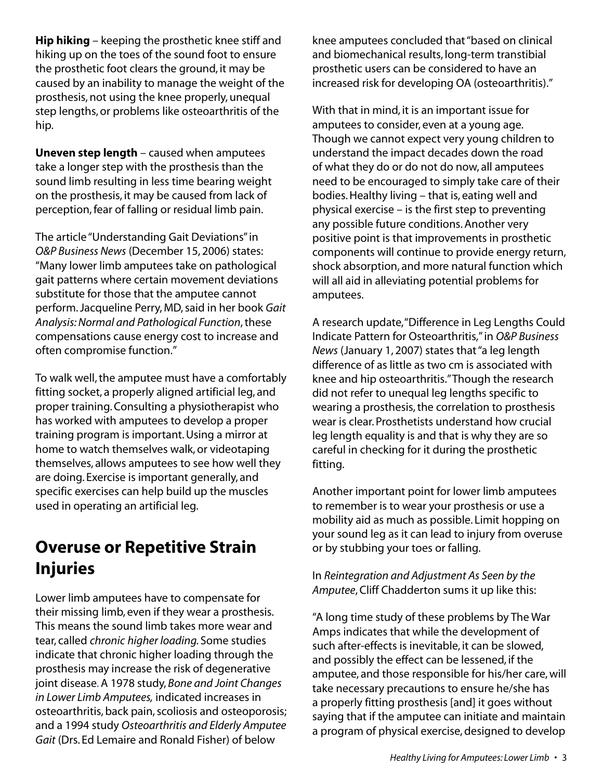**Hip hiking** – keeping the prosthetic knee stiff and hiking up on the toes of the sound foot to ensure the prosthetic foot clears the ground, it may be caused by an inability to manage the weight of the prosthesis, not using the knee properly, unequal step lengths, or problems like osteoarthritis of the hip.

**Uneven step length** – caused when amputees take a longer step with the prosthesis than the sound limb resulting in less time bearing weight on the prosthesis, it may be caused from lack of perception, fear of falling or residual limb pain.

The article "Understanding Gait Deviations" in *O&P Business News* (December 15, 2006) states: "Many lower limb amputees take on pathological gait patterns where certain movement deviations substitute for those that the amputee cannot perform. Jacqueline Perry, MD, said in her book *Gait Analysis: Normal and Pathological Function*, these compensations cause energy cost to increase and often compromise function."

To walk well, the amputee must have a comfortably fitting socket, a properly aligned artificial leg, and proper training. Consulting a physiotherapist who has worked with amputees to develop a proper training program is important. Using a mirror at home to watch themselves walk, or videotaping themselves, allows amputees to see how well they are doing. Exercise is important generally, and specific exercises can help build up the muscles used in operating an artificial leg.

#### **Overuse or Repetitive Strain Injuries**

Lower limb amputees have to compensate for their missing limb, even if they wear a prosthesis. This means the sound limb takes more wear and tear, called *chronic higher loading.* Some studies indicate that chronic higher loading through the prosthesis may increase the risk of degenerative joint disease. A 1978 study, *Bone and Joint Changes in Lower Limb Amputees,* indicated increases in osteoarthritis, back pain, scoliosis and osteoporosis; and a 1994 study *Osteoarthritis and Elderly Amputee Gait* (Drs. Ed Lemaire and Ronald Fisher) of below

knee amputees concluded that "based on clinical and biomechanical results, long-term transtibial prosthetic users can be considered to have an increased risk for developing OA (osteoarthritis)."

With that in mind, it is an important issue for amputees to consider, even at a young age. Though we cannot expect very young children to understand the impact decades down the road of what they do or do not do now, all amputees need to be encouraged to simply take care of their bodies. Healthy living – that is, eating well and physical exercise – is the first step to preventing any possible future conditions. Another very positive point is that improvements in prosthetic components will continue to provide energy return, shock absorption, and more natural function which will all aid in alleviating potential problems for amputees.

A research update, "Difference in Leg Lengths Could Indicate Pattern for Osteoarthritis," in *O&P Business News* (January 1, 2007) states that "a leg length difference of as little as two cm is associated with knee and hip osteoarthritis." Though the research did not refer to unequal leg lengths specific to wearing a prosthesis, the correlation to prosthesis wear is clear. Prosthetists understand how crucial leg length equality is and that is why they are so careful in checking for it during the prosthetic fitting.

Another important point for lower limb amputees to remember is to wear your prosthesis or use a mobility aid as much as possible. Limit hopping on your sound leg as it can lead to injury from overuse or by stubbing your toes or falling.

In *Reintegration and Adjustment As Seen by the Amputee*, Cliff Chadderton sums it up like this:

"A long time study of these problems by The War Amps indicates that while the development of such after-effects is inevitable, it can be slowed, and possibly the effect can be lessened, if the amputee, and those responsible for his/her care, will take necessary precautions to ensure he/she has a properly fitting prosthesis [and] it goes without saying that if the amputee can initiate and maintain a program of physical exercise, designed to develop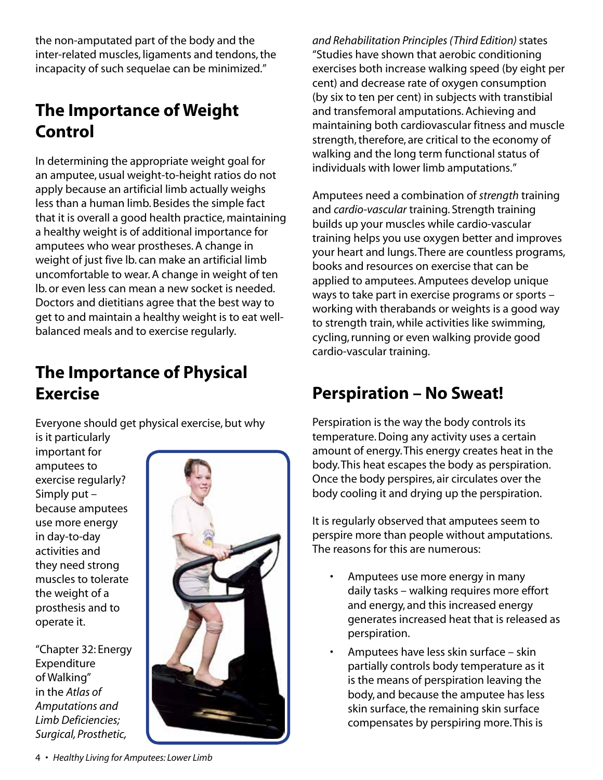the non-amputated part of the body and the inter-related muscles, ligaments and tendons, the incapacity of such sequelae can be minimized."

#### **The Importance of Weight Control**

In determining the appropriate weight goal for an amputee, usual weight-to-height ratios do not apply because an artificial limb actually weighs less than a human limb. Besides the simple fact that it is overall a good health practice, maintaining a healthy weight is of additional importance for amputees who wear prostheses. A change in weight of just five lb. can make an artificial limb uncomfortable to wear. A change in weight of ten lb. or even less can mean a new socket is needed. Doctors and dietitians agree that the best way to get to and maintain a healthy weight is to eat wellbalanced meals and to exercise regularly.

#### **The Importance of Physical Exercise**

Everyone should get physical exercise, but why

is it particularly important for amputees to exercise regularly? Simply put – because amputees use more energy in day-to-day activities and they need strong muscles to tolerate the weight of a prosthesis and to operate it.

"Chapter 32: Energy Expenditure of Walking" in the *Atlas of Amputations and Limb Deficiencies; Surgical, Prosthetic,* 



*and Rehabilitation Principles (Third Edition)* states "Studies have shown that aerobic conditioning exercises both increase walking speed (by eight per cent) and decrease rate of oxygen consumption (by six to ten per cent) in subjects with transtibial and transfemoral amputations. Achieving and maintaining both cardiovascular fitness and muscle strength, therefore, are critical to the economy of walking and the long term functional status of individuals with lower limb amputations."

Amputees need a combination of *strength* training and *cardio-vascular* training. Strength training builds up your muscles while cardio-vascular training helps you use oxygen better and improves your heart and lungs. There are countless programs, books and resources on exercise that can be applied to amputees. Amputees develop unique ways to take part in exercise programs or sports – working with therabands or weights is a good way to strength train, while activities like swimming, cycling, running or even walking provide good cardio-vascular training.

## **Perspiration – No Sweat!**

Perspiration is the way the body controls its temperature. Doing any activity uses a certain amount of energy. This energy creates heat in the body. This heat escapes the body as perspiration. Once the body perspires, air circulates over the body cooling it and drying up the perspiration.

It is regularly observed that amputees seem to perspire more than people without amputations. The reasons for this are numerous:

- Amputees use more energy in many daily tasks – walking requires more effort and energy, and this increased energy generates increased heat that is released as perspiration.
- Amputees have less skin surface skin partially controls body temperature as it is the means of perspiration leaving the body, and because the amputee has less skin surface, the remaining skin surface compensates by perspiring more. This is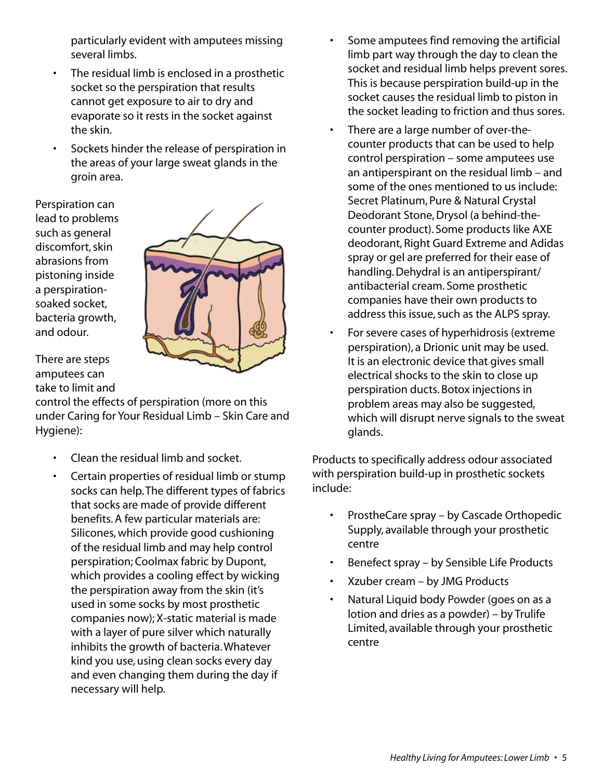particularly evident with amputees missing several limbs.

- The residual limb is enclosed in a prosthetic socket so the perspiration that results cannot get exposure to air to dry and evaporate so it rests in the socket against the skin.
- Sockets hinder the release of perspiration in the areas of your large sweat glands in the groin area.

Perspiration can lead to problems such as general discomfort, skin abrasions from pistoning inside a perspirationsoaked socket, bacteria growth, and odour.



There are steps amputees can take to limit and

control the effects of perspiration (more on this under Caring for Your Residual Limb – Skin Care and Hygiene):

- Clean the residual limb and socket.
- Certain properties of residual limb or stump socks can help. The different types of fabrics that socks are made of provide different benefits. A few particular materials are: Silicones, which provide good cushioning of the residual limb and may help control perspiration; Coolmax fabric by Dupont, which provides a cooling effect by wicking the perspiration away from the skin (it's used in some socks by most prosthetic companies now); X-static material is made with a layer of pure silver which naturally inhibits the growth of bacteria. Whatever kind you use, using clean socks every day and even changing them during the day if necessary will help.
- Some amputees find removing the artificial limb part way through the day to clean the socket and residual limb helps prevent sores. This is because perspiration build-up in the socket causes the residual limb to piston in the socket leading to friction and thus sores.
- There are a large number of over-thecounter products that can be used to help control perspiration – some amputees use an antiperspirant on the residual limb – and some of the ones mentioned to us include: Secret Platinum, Pure & Natural Crystal Deodorant Stone, Drysol (a behind-thecounter product). Some products like AXE deodorant, Right Guard Extreme and Adidas spray or gel are preferred for their ease of handling. Dehydral is an antiperspirant/ antibacterial cream. Some prosthetic companies have their own products to address this issue, such as the ALPS spray.
- For severe cases of hyperhidrosis (extreme perspiration), a Drionic unit may be used. It is an electronic device that gives small electrical shocks to the skin to close up perspiration ducts. Botox injections in problem areas may also be suggested, which will disrupt nerve signals to the sweat glands.

Products to specifically address odour associated with perspiration build-up in prosthetic sockets include:

- ProstheCare spray by Cascade Orthopedic Supply, available through your prosthetic centre
- Benefect spray by Sensible Life Products
- Xzuber cream by JMG Products
- Natural Liquid body Powder (goes on as a lotion and dries as a powder) – by Trulife Limited, available through your prosthetic centre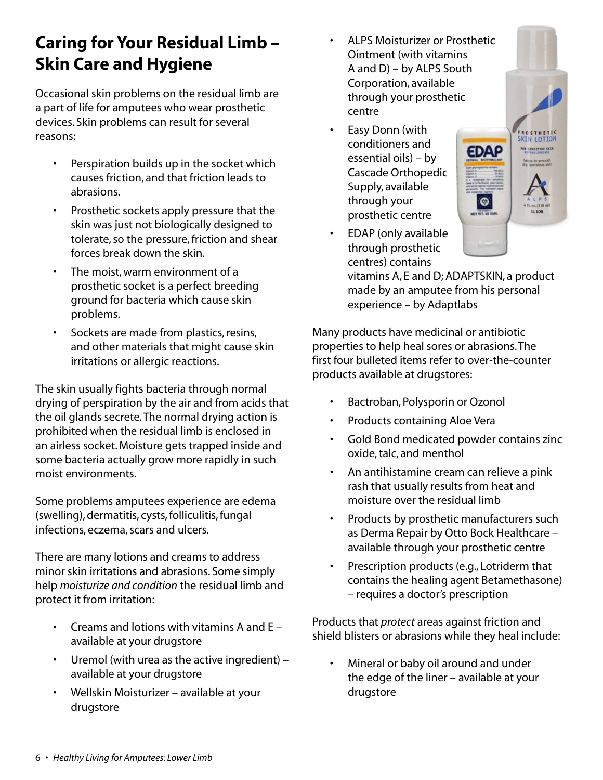### **Caring for Your Residual Limb – Skin Care and Hygiene**

Occasional skin problems on the residual limb are a part of life for amputees who wear prosthetic devices. Skin problems can result for several reasons:

- Perspiration builds up in the socket which causes friction, and that friction leads to abrasions.
- Prosthetic sockets apply pressure that the skin was just not biologically designed to tolerate, so the pressure, friction and shear forces break down the skin.
- The moist, warm environment of a prosthetic socket is a perfect breeding ground for bacteria which cause skin problems.
- Sockets are made from plastics, resins, and other materials that might cause skin irritations or allergic reactions.

The skin usually fights bacteria through normal drying of perspiration by the air and from acids that the oil glands secrete. The normal drying action is prohibited when the residual limb is enclosed in an airless socket. Moisture gets trapped inside and some bacteria actually grow more rapidly in such moist environments.

Some problems amputees experience are edema (swelling), dermatitis, cysts, folliculitis, fungal infections, eczema, scars and ulcers.

There are many lotions and creams to address minor skin irritations and abrasions. Some simply help *moisturize and condition* the residual limb and protect it from irritation:

- Creams and lotions with vitamins A and E available at your drugstore
- Uremol (with urea as the active ingredient) available at your drugstore
- Wellskin Moisturizer available at your drugstore
- ALPS Moisturizer or Prosthetic Ointment (with vitamins A and D) – by ALPS South Corporation, available through your prosthetic centre
- Easy Donn (with conditioners and essential oils) – by Cascade Orthopedic Supply, available through your prosthetic centre
- EDAP (only available through prosthetic centres) contains

vitamins A, E and D; ADAPTSKIN, a product made by an amputee from his personal experience – by Adaptlabs

PROSTMETIC<br>SKIN LOTION

**DR SENSITIVE SKIN** 

**EDAP** 

 $\bullet$ 

Many products have medicinal or antibiotic properties to help heal sores or abrasions. The first four bulleted items refer to over-the-counter products available at drugstores:

- Bactroban, Polysporin or Ozonol
- Products containing Aloe Vera
- Gold Bond medicated powder contains zinc oxide, talc, and menthol
- An antihistamine cream can relieve a pink rash that usually results from heat and moisture over the residual limb
- Products by prosthetic manufacturers such as Derma Repair by Otto Bock Healthcare – available through your prosthetic centre
- Prescription products (e.g., Lotriderm that contains the healing agent Betamethasone) – requires a doctor's prescription

Products that *protect* areas against friction and shield blisters or abrasions while they heal include:

• Mineral or baby oil around and under the edge of the liner – available at your drugstore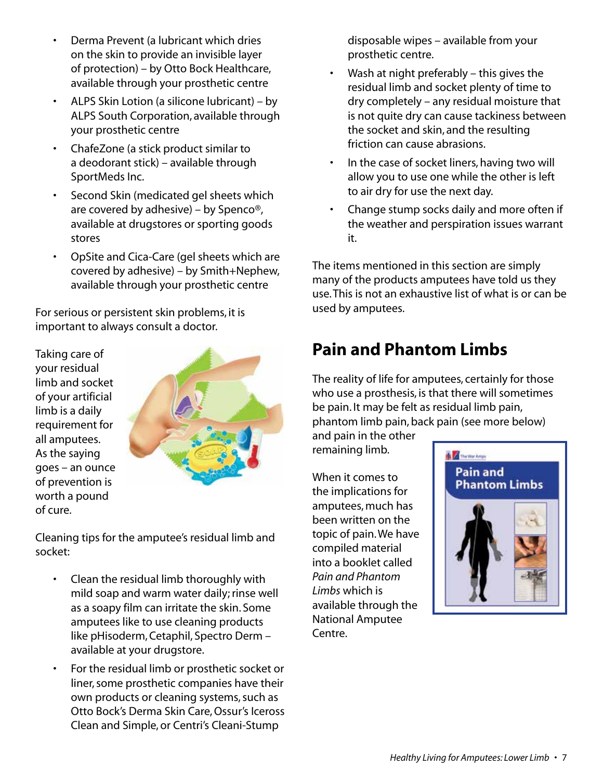- Derma Prevent (a lubricant which dries on the skin to provide an invisible layer of protection) – by Otto Bock Healthcare, available through your prosthetic centre
- ALPS Skin Lotion (a silicone lubricant) by ALPS South Corporation, available through your prosthetic centre
- ChafeZone (a stick product similar to a deodorant stick) – available through SportMeds Inc.
- Second Skin (medicated gel sheets which are covered by adhesive) – by Spenco®, available at drugstores or sporting goods stores
- OpSite and Cica-Care (gel sheets which are covered by adhesive) – by Smith+Nephew, available through your prosthetic centre

For serious or persistent skin problems, it is important to always consult a doctor.

Taking care of your residual limb and socket of your artificial limb is a daily requirement for all amputees. As the saying goes – an ounce of prevention is worth a pound of cure.



Cleaning tips for the amputee's residual limb and socket:

- Clean the residual limb thoroughly with mild soap and warm water daily; rinse well as a soapy film can irritate the skin. Some amputees like to use cleaning products like pHisoderm, Cetaphil, Spectro Derm – available at your drugstore.
- For the residual limb or prosthetic socket or liner, some prosthetic companies have their own products or cleaning systems, such as Otto Bock's Derma Skin Care, Ossur's Iceross Clean and Simple, or Centri's Cleani-Stump

disposable wipes – available from your prosthetic centre.

- Wash at night preferably  $-$  this gives the residual limb and socket plenty of time to dry completely – any residual moisture that is not quite dry can cause tackiness between the socket and skin, and the resulting friction can cause abrasions.
- In the case of socket liners, having two will allow you to use one while the other is left to air dry for use the next day.
- Change stump socks daily and more often if the weather and perspiration issues warrant it.

The items mentioned in this section are simply many of the products amputees have told us they use. This is not an exhaustive list of what is or can be used by amputees.

## **Pain and Phantom Limbs**

The reality of life for amputees, certainly for those who use a prosthesis, is that there will sometimes be pain. It may be felt as residual limb pain, phantom limb pain, back pain (see more below)

and pain in the other remaining limb.

When it comes to the implications for amputees, much has been written on the topic of pain. We have compiled material into a booklet called *Pain and Phantom Limbs* which is available through the National Amputee Centre.